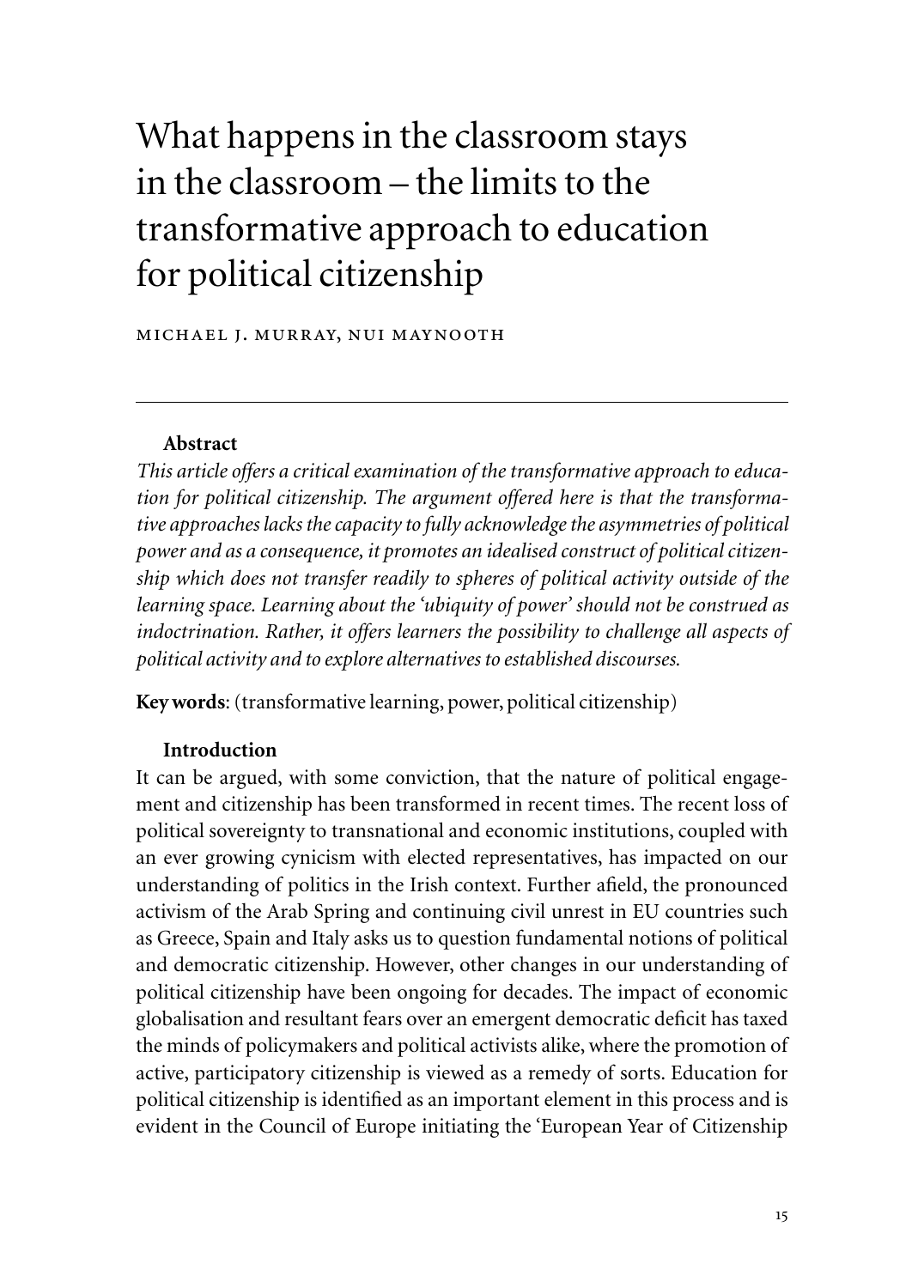# What happens in the classroom stays in the classroom – the limits to the transformative approach to education for political citizenship

michael j. murray, nui maynooth

### **Abstract**

*This article offers a critical examination of the transformative approach to education for political citizenship. The argument offered here is that the transformative approaches lacks the capacity to fully acknowledge the asymmetries of political power and as a consequence, it promotes an idealised construct of political citizenship which does not transfer readily to spheres of political activity outside of the learning space. Learning about the 'ubiquity of power' should not be construed as indoctrination. Rather, it offers learners the possibility to challenge all aspects of political activity and to explore alternatives to established discourses.*

**Key words**: (transformative learning, power, political citizenship)

## **Introduction**

It can be argued, with some conviction, that the nature of political engagement and citizenship has been transformed in recent times. The recent loss of political sovereignty to transnational and economic institutions, coupled with an ever growing cynicism with elected representatives, has impacted on our understanding of politics in the Irish context. Further afield, the pronounced activism of the Arab Spring and continuing civil unrest in EU countries such as Greece, Spain and Italy asks us to question fundamental notions of political and democratic citizenship. However, other changes in our understanding of political citizenship have been ongoing for decades. The impact of economic globalisation and resultant fears over an emergent democratic deficit has taxed the minds of policymakers and political activists alike, where the promotion of active, participatory citizenship is viewed as a remedy of sorts. Education for political citizenship is identified as an important element in this process and is evident in the Council of Europe initiating the 'European Year of Citizenship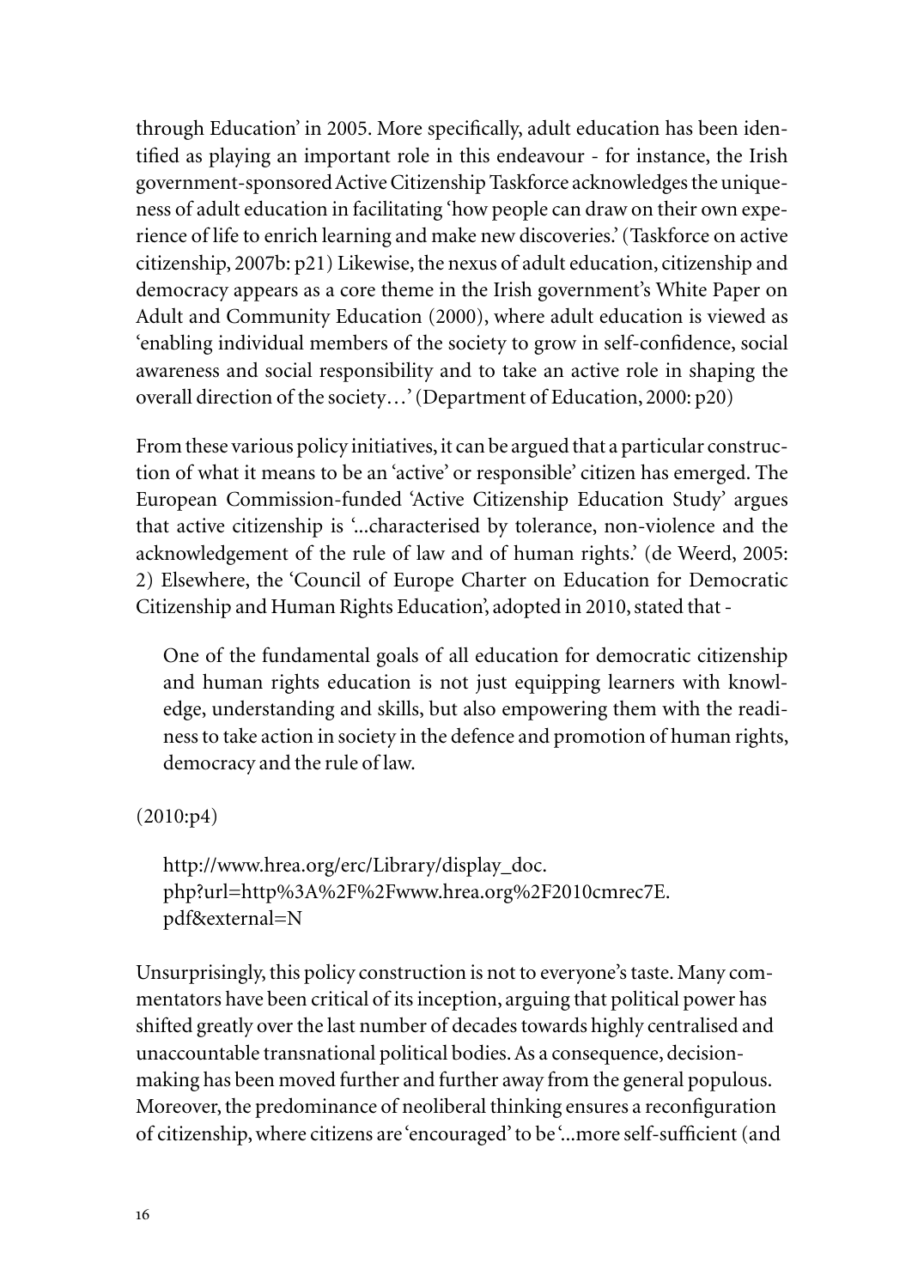through Education' in 2005. More specifically, adult education has been identified as playing an important role in this endeavour - for instance, the Irish government-sponsored Active Citizenship Taskforce acknowledges the uniqueness of adult education in facilitating 'how people can draw on their own experience of life to enrich learning and make new discoveries.' (Taskforce on active citizenship, 2007b: p21) Likewise, the nexus of adult education, citizenship and democracy appears as a core theme in the Irish government's White Paper on Adult and Community Education (2000), where adult education is viewed as 'enabling individual members of the society to grow in self-confidence, social awareness and social responsibility and to take an active role in shaping the overall direction of the society…' (Department of Education, 2000: p20)

From these various policy initiatives, it can be argued that a particular construction of what it means to be an 'active' or responsible' citizen has emerged. The European Commission-funded 'Active Citizenship Education Study' argues that active citizenship is '...characterised by tolerance, non-violence and the acknowledgement of the rule of law and of human rights.' (de Weerd, 2005: 2) Elsewhere, the 'Council of Europe Charter on Education for Democratic Citizenship and Human Rights Education', adopted in 2010, stated that -

One of the fundamental goals of all education for democratic citizenship and human rights education is not just equipping learners with knowledge, understanding and skills, but also empowering them with the readiness to take action in society in the defence and promotion of human rights, democracy and the rule of law.

(2010:p4)

http://www.hrea.org/erc/Library/display\_doc. php?url=http%3A%2F%2Fwww.hrea.org%2F2010cmrec7E. pdf&external=N

Unsurprisingly, this policy construction is not to everyone's taste. Many commentators have been critical of its inception, arguing that political power has shifted greatly over the last number of decades towards highly centralised and unaccountable transnational political bodies. As a consequence, decisionmaking has been moved further and further away from the general populous. Moreover, the predominance of neoliberal thinking ensures a reconfiguration of citizenship, where citizens are 'encouraged' to be '...more self-sufficient (and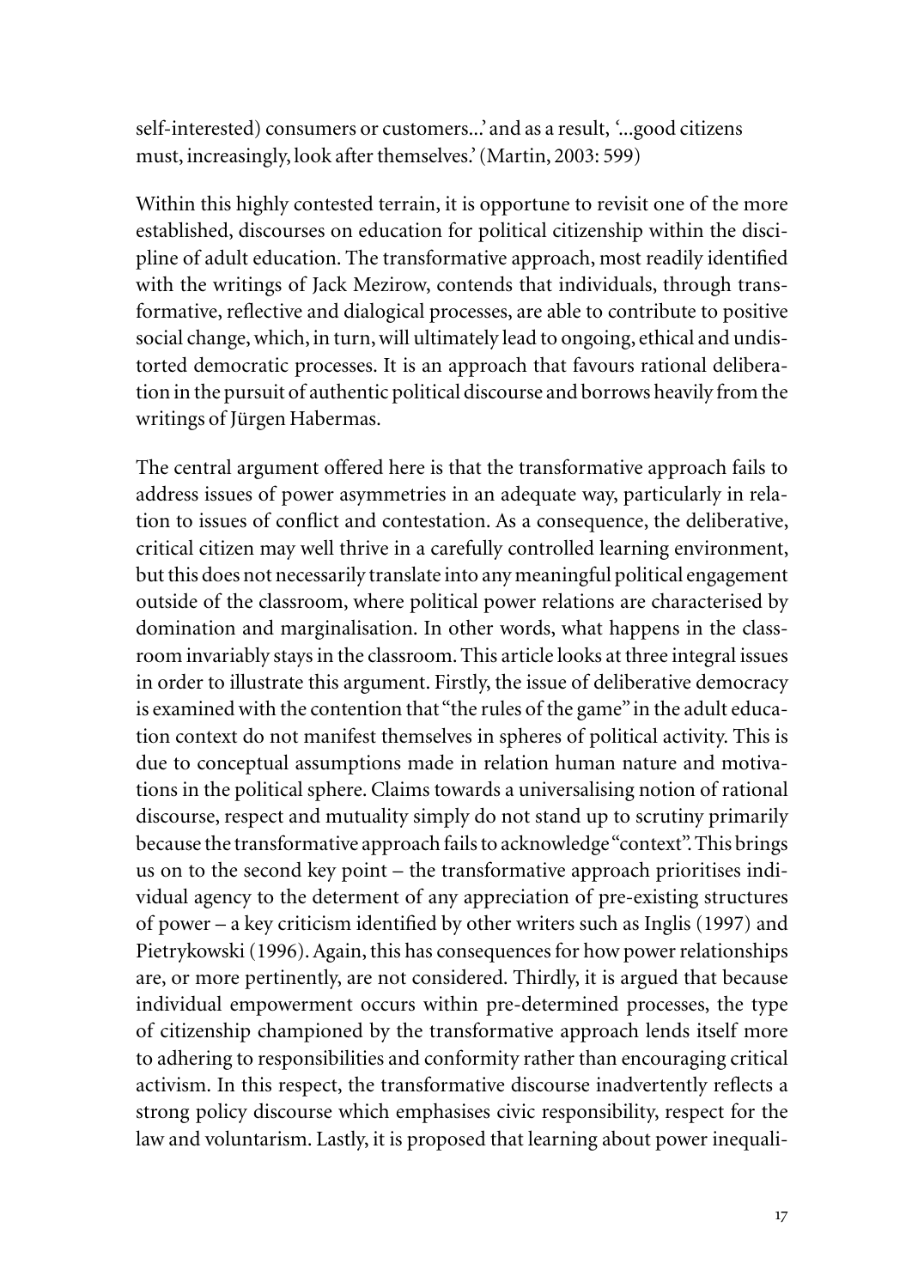self-interested) consumers or customers...' and as a result, *'*...good citizens must, increasingly, look after themselves.' (Martin, 2003: 599)

Within this highly contested terrain, it is opportune to revisit one of the more established, discourses on education for political citizenship within the discipline of adult education. The transformative approach, most readily identified with the writings of Jack Mezirow, contends that individuals, through transformative, reflective and dialogical processes, are able to contribute to positive social change, which, in turn, will ultimately lead to ongoing, ethical and undistorted democratic processes. It is an approach that favours rational deliberation in the pursuit of authentic political discourse and borrows heavily from the writings of Jürgen Habermas.

The central argument offered here is that the transformative approach fails to address issues of power asymmetries in an adequate way, particularly in relation to issues of conflict and contestation. As a consequence, the deliberative, critical citizen may well thrive in a carefully controlled learning environment, but this does not necessarily translate into any meaningful political engagement outside of the classroom, where political power relations are characterised by domination and marginalisation. In other words, what happens in the classroom invariably stays in the classroom. This article looks at three integral issues in order to illustrate this argument. Firstly, the issue of deliberative democracy is examined with the contention that "the rules of the game" in the adult education context do not manifest themselves in spheres of political activity. This is due to conceptual assumptions made in relation human nature and motivations in the political sphere. Claims towards a universalising notion of rational discourse, respect and mutuality simply do not stand up to scrutiny primarily because the transformative approach fails to acknowledge "context". This brings us on to the second key point – the transformative approach prioritises individual agency to the determent of any appreciation of pre-existing structures of power – a key criticism identified by other writers such as Inglis (1997) and Pietrykowski (1996). Again, this has consequences for how power relationships are, or more pertinently, are not considered. Thirdly, it is argued that because individual empowerment occurs within pre-determined processes, the type of citizenship championed by the transformative approach lends itself more to adhering to responsibilities and conformity rather than encouraging critical activism. In this respect, the transformative discourse inadvertently reflects a strong policy discourse which emphasises civic responsibility, respect for the law and voluntarism. Lastly, it is proposed that learning about power inequali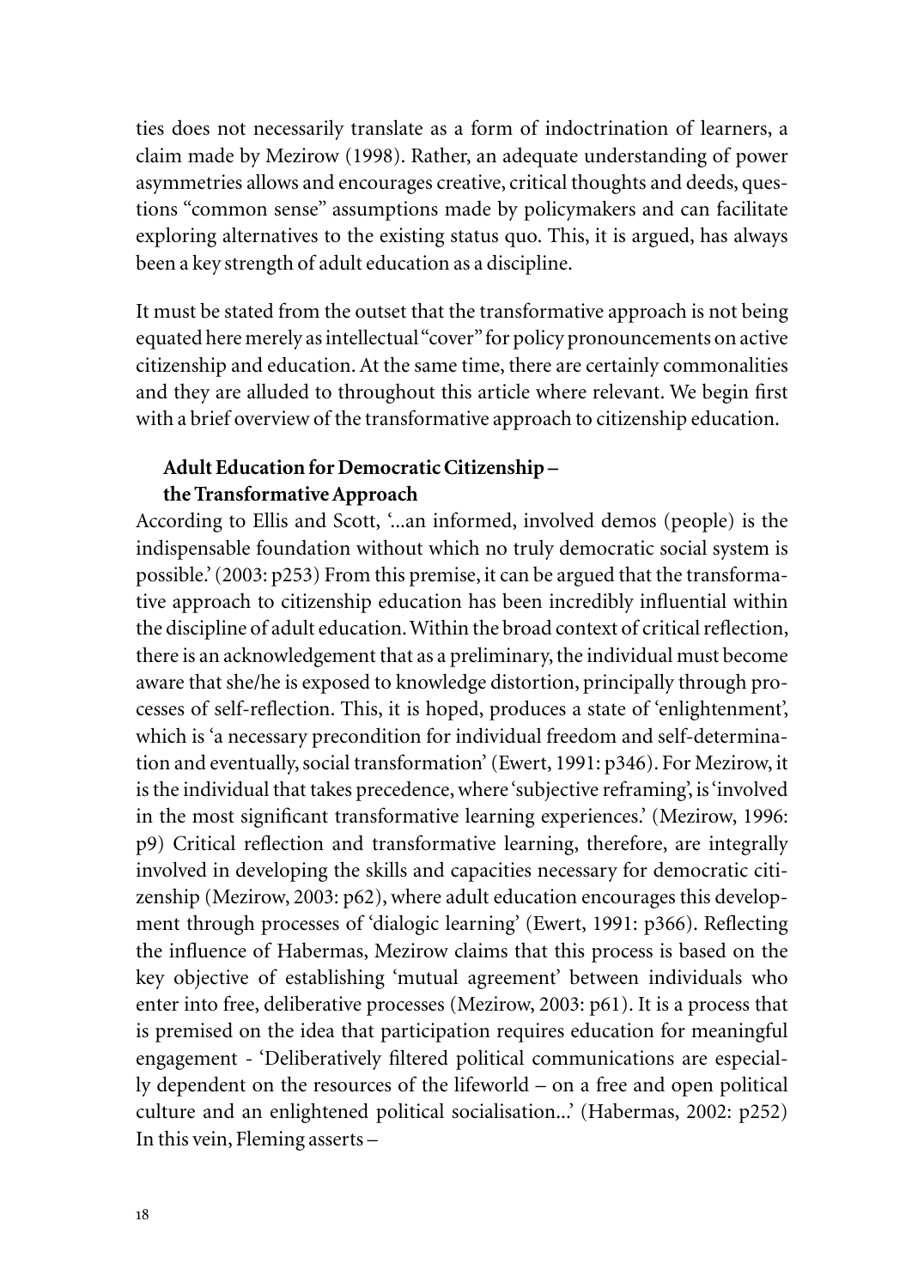ties does not necessarily translate as a form of indoctrination of learners, a claim made by Mezirow (1998). Rather, an adequate understanding of power asymmetries allows and encourages creative, critical thoughts and deeds, questions "common sense" assumptions made by policymakers and can facilitate exploring alternatives to the existing status quo. This, it is argued, has always been a key strength of adult education as a discipline.

It must be stated from the outset that the transformative approach is not being equated here merely as intellectual "cover" for policy pronouncements on active citizenship and education. At the same time, there are certainly commonalities and they are alluded to throughout this article where relevant. We begin first with a brief overview of the transformative approach to citizenship education.

# **Adult Education for Democratic Citizenship – the Transformative Approach**

According to Ellis and Scott, '...an informed, involved demos (people) is the indispensable foundation without which no truly democratic social system is possible.' (2003: p253) From this premise, it can be argued that the transformative approach to citizenship education has been incredibly influential within the discipline of adult education. Within the broad context of critical reflection, there is an acknowledgement that as a preliminary, the individual must become aware that she/he is exposed to knowledge distortion, principally through processes of self-reflection. This, it is hoped, produces a state of 'enlightenment', which is 'a necessary precondition for individual freedom and self-determination and eventually, social transformation'(Ewert, 1991: p346). For Mezirow, it is the individual that takes precedence, where 'subjective reframing', is 'involved in the most significant transformative learning experiences.' (Mezirow, 1996: p9) Critical reflection and transformative learning, therefore, are integrally involved in developing the skills and capacities necessary for democratic citizenship (Mezirow, 2003: p62), where adult education encourages this development through processes of 'dialogic learning' (Ewert, 1991: p366). Reflecting the influence of Habermas, Mezirow claims that this process is based on the key objective of establishing 'mutual agreement' between individuals who enter into free, deliberative processes (Mezirow, 2003: p61). It is a process that is premised on the idea that participation requires education for meaningful engagement - 'Deliberatively filtered political communications are especially dependent on the resources of the lifeworld – on a free and open political culture and an enlightened political socialisation...' (Habermas, 2002: p252) In this vein, Fleming asserts –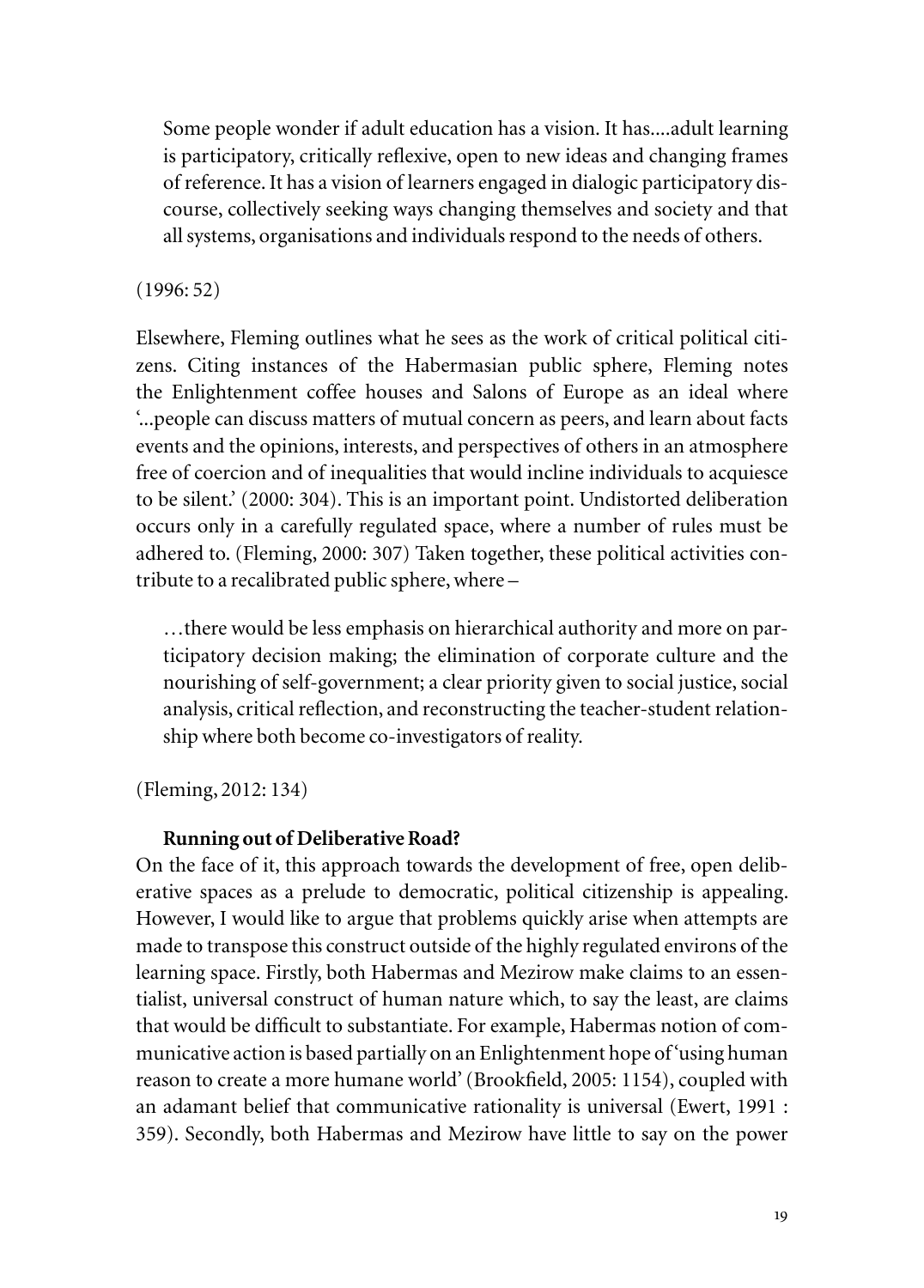Some people wonder if adult education has a vision. It has....adult learning is participatory, critically reflexive, open to new ideas and changing frames of reference. It has a vision of learners engaged in dialogic participatory discourse, collectively seeking ways changing themselves and society and that all systems, organisations and individuals respond to the needs of others.

# (1996: 52)

Elsewhere, Fleming outlines what he sees as the work of critical political citizens. Citing instances of the Habermasian public sphere, Fleming notes the Enlightenment coffee houses and Salons of Europe as an ideal where '...people can discuss matters of mutual concern as peers, and learn about facts events and the opinions, interests, and perspectives of others in an atmosphere free of coercion and of inequalities that would incline individuals to acquiesce to be silent.' (2000: 304). This is an important point. Undistorted deliberation occurs only in a carefully regulated space, where a number of rules must be adhered to. (Fleming, 2000: 307) Taken together, these political activities contribute to a recalibrated public sphere, where –

…there would be less emphasis on hierarchical authority and more on participatory decision making; the elimination of corporate culture and the nourishing of self-government; a clear priority given to social justice, social analysis, critical reflection, and reconstructing the teacher-student relationship where both become co-investigators of reality.

(Fleming, 2012: 134)

# **Running out of Deliberative Road?**

On the face of it, this approach towards the development of free, open deliberative spaces as a prelude to democratic, political citizenship is appealing. However, I would like to argue that problems quickly arise when attempts are made to transpose this construct outside of the highly regulated environs of the learning space. Firstly, both Habermas and Mezirow make claims to an essentialist, universal construct of human nature which, to say the least, are claims that would be difficult to substantiate. For example, Habermas notion of communicative action is based partially on an Enlightenment hope of 'using human reason to create a more humane world' (Brookfield, 2005: 1154), coupled with an adamant belief that communicative rationality is universal (Ewert, 1991 : 359). Secondly, both Habermas and Mezirow have little to say on the power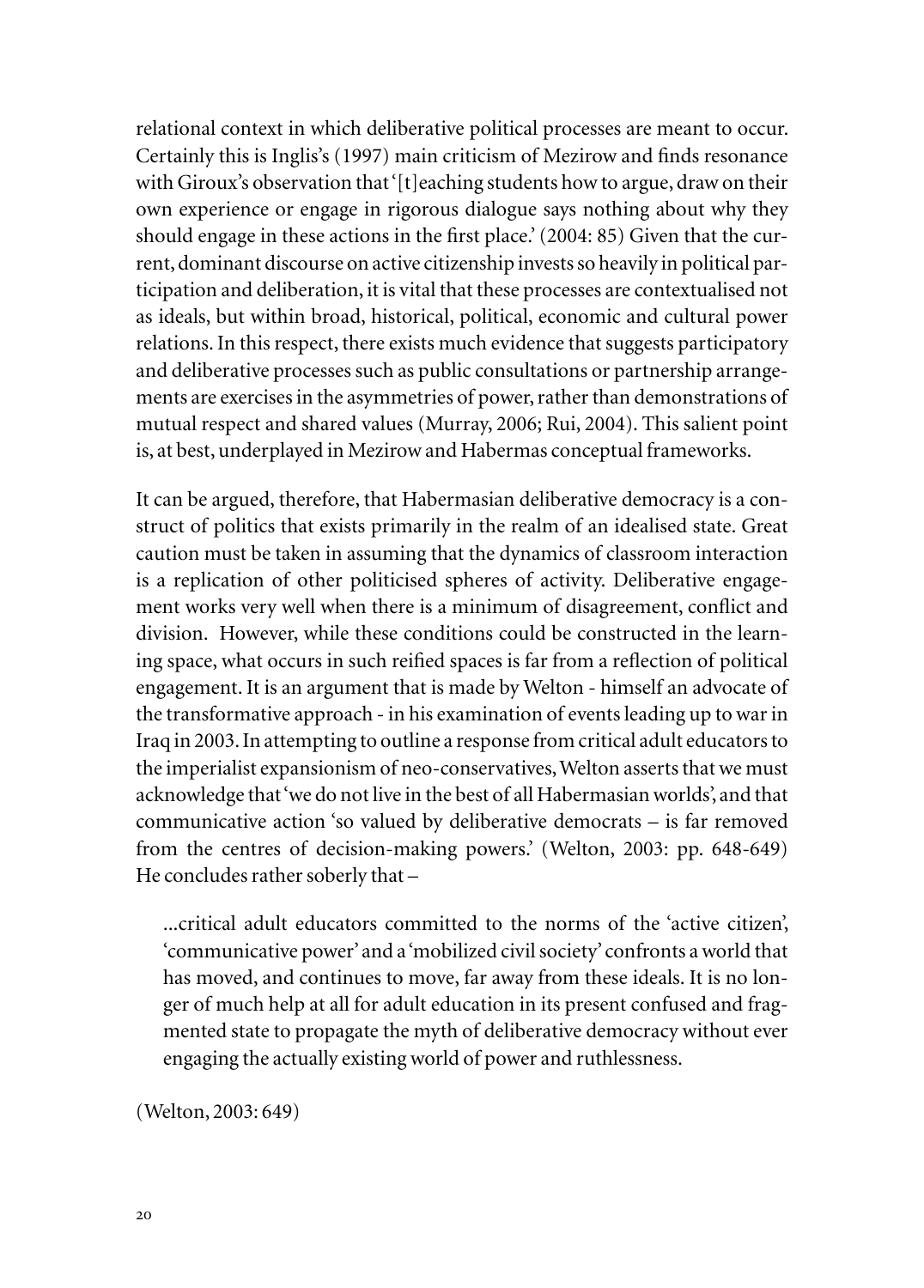relational context in which deliberative political processes are meant to occur. Certainly this is Inglis's (1997) main criticism of Mezirow and finds resonance with Giroux's observation that '[t]eaching students how to argue, draw on their own experience or engage in rigorous dialogue says nothing about why they should engage in these actions in the first place.' (2004: 85) Given that the current, dominant discourse on active citizenship invests so heavily in political participation and deliberation, it is vital that these processes are contextualised not as ideals, but within broad, historical, political, economic and cultural power relations. In this respect, there exists much evidence that suggests participatory and deliberative processes such as public consultations or partnership arrangements are exercises in the asymmetries of power, rather than demonstrations of mutual respect and shared values (Murray, 2006; Rui, 2004). This salient point is, at best, underplayed in Mezirow and Habermas conceptual frameworks.

It can be argued, therefore, that Habermasian deliberative democracy is a construct of politics that exists primarily in the realm of an idealised state. Great caution must be taken in assuming that the dynamics of classroom interaction is a replication of other politicised spheres of activity. Deliberative engagement works very well when there is a minimum of disagreement, conflict and division. However, while these conditions could be constructed in the learning space, what occurs in such reified spaces is far from a reflection of political engagement. It is an argument that is made by Welton - himself an advocate of the transformative approach - in his examination of events leading up to war in Iraq in 2003. In attempting to outline a response from critical adult educators to the imperialist expansionism of neo-conservatives, Welton asserts that we must acknowledge that 'we do not live in the best of all Habermasian worlds', and that communicative action 'so valued by deliberative democrats – is far removed from the centres of decision-making powers.' (Welton, 2003: pp. 648-649) He concludes rather soberly that –

...critical adult educators committed to the norms of the 'active citizen', 'communicative power' and a 'mobilized civil society' confronts a world that has moved, and continues to move, far away from these ideals. It is no longer of much help at all for adult education in its present confused and fragmented state to propagate the myth of deliberative democracy without ever engaging the actually existing world of power and ruthlessness.

(Welton, 2003: 649)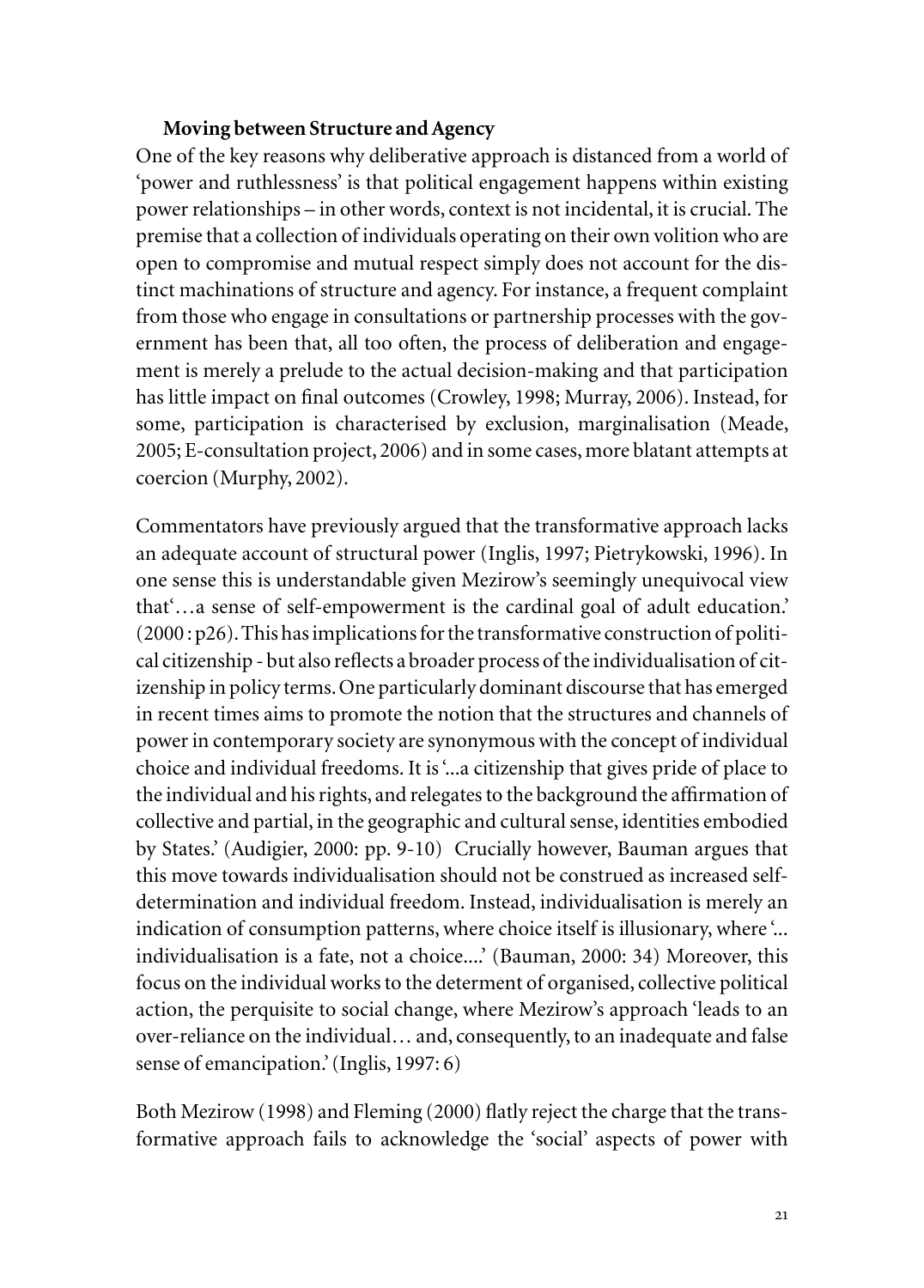## **Moving between Structure and Agency**

One of the key reasons why deliberative approach is distanced from a world of 'power and ruthlessness' is that political engagement happens within existing power relationships – in other words, context is not incidental, it is crucial. The premise that a collection of individuals operating on their own volition who are open to compromise and mutual respect simply does not account for the distinct machinations of structure and agency. For instance, a frequent complaint from those who engage in consultations or partnership processes with the government has been that, all too often, the process of deliberation and engagement is merely a prelude to the actual decision-making and that participation has little impact on final outcomes (Crowley, 1998; Murray, 2006). Instead, for some, participation is characterised by exclusion, marginalisation (Meade, 2005; E-consultation project, 2006) and in some cases, more blatant attempts at coercion (Murphy, 2002).

Commentators have previously argued that the transformative approach lacks an adequate account of structural power (Inglis, 1997; Pietrykowski, 1996). In one sense this is understandable given Mezirow's seemingly unequivocal view that'…a sense of self-empowerment is the cardinal goal of adult education.' (2000 : p26). This has implications for the transformative construction of political citizenship - but also reflects a broader process of the individualisation of citizenship in policy terms. One particularly dominant discourse that has emerged in recent times aims to promote the notion that the structures and channels of power in contemporary society are synonymous with the concept of individual choice and individual freedoms. It is '...a citizenship that gives pride of place to the individual and his rights, and relegates to the background the affirmation of collective and partial, in the geographic and cultural sense, identities embodied by States.' (Audigier, 2000: pp. 9-10) Crucially however, Bauman argues that this move towards individualisation should not be construed as increased selfdetermination and individual freedom. Instead, individualisation is merely an indication of consumption patterns, where choice itself is illusionary, where '... individualisation is a fate, not a choice....' (Bauman, 2000: 34) Moreover, this focus on the individual works to the determent of organised, collective political action, the perquisite to social change, where Mezirow's approach 'leads to an over-reliance on the individual… and, consequently, to an inadequate and false sense of emancipation.' (Inglis, 1997: 6)

Both Mezirow (1998) and Fleming (2000) flatly reject the charge that the transformative approach fails to acknowledge the 'social' aspects of power with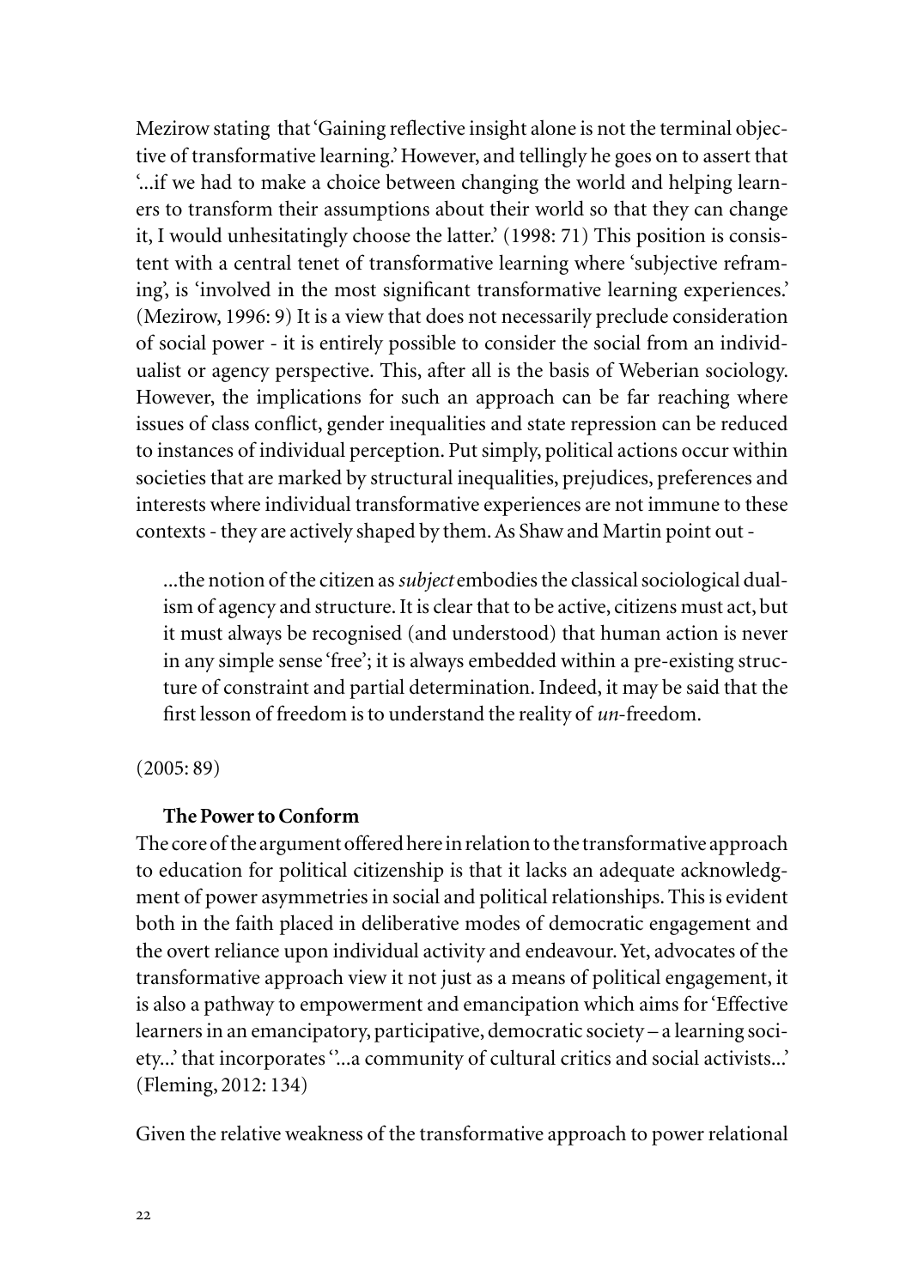Mezirow stating that 'Gaining reflective insight alone is not the terminal objective of transformative learning.' However, and tellingly he goes on to assert that '...if we had to make a choice between changing the world and helping learners to transform their assumptions about their world so that they can change it, I would unhesitatingly choose the latter.' (1998: 71) This position is consistent with a central tenet of transformative learning where 'subjective reframing', is 'involved in the most significant transformative learning experiences.' (Mezirow, 1996: 9) It is a view that does not necessarily preclude consideration of social power - it is entirely possible to consider the social from an individualist or agency perspective. This, after all is the basis of Weberian sociology. However, the implications for such an approach can be far reaching where issues of class conflict, gender inequalities and state repression can be reduced to instances of individual perception. Put simply, political actions occur within societies that are marked by structural inequalities, prejudices, preferences and interests where individual transformative experiences are not immune to these contexts - they are actively shaped by them. As Shaw and Martin point out -

...the notion of the citizen as *subject* embodies the classical sociological dualism of agency and structure. It is clear that to be active, citizens must act, but it must always be recognised (and understood) that human action is never in any simple sense 'free'; it is always embedded within a pre-existing structure of constraint and partial determination. Indeed, it may be said that the first lesson of freedom is to understand the reality of *un*-freedom.

(2005: 89)

# **The Power to Conform**

The core of the argument offered here in relation to the transformative approach to education for political citizenship is that it lacks an adequate acknowledgment of power asymmetries in social and political relationships. This is evident both in the faith placed in deliberative modes of democratic engagement and the overt reliance upon individual activity and endeavour. Yet, advocates of the transformative approach view it not just as a means of political engagement, it is also a pathway to empowerment and emancipation which aims for 'Effective learners in an emancipatory, participative, democratic society – a learning society...' that incorporates ''...a community of cultural critics and social activists...' (Fleming, 2012: 134)

Given the relative weakness of the transformative approach to power relational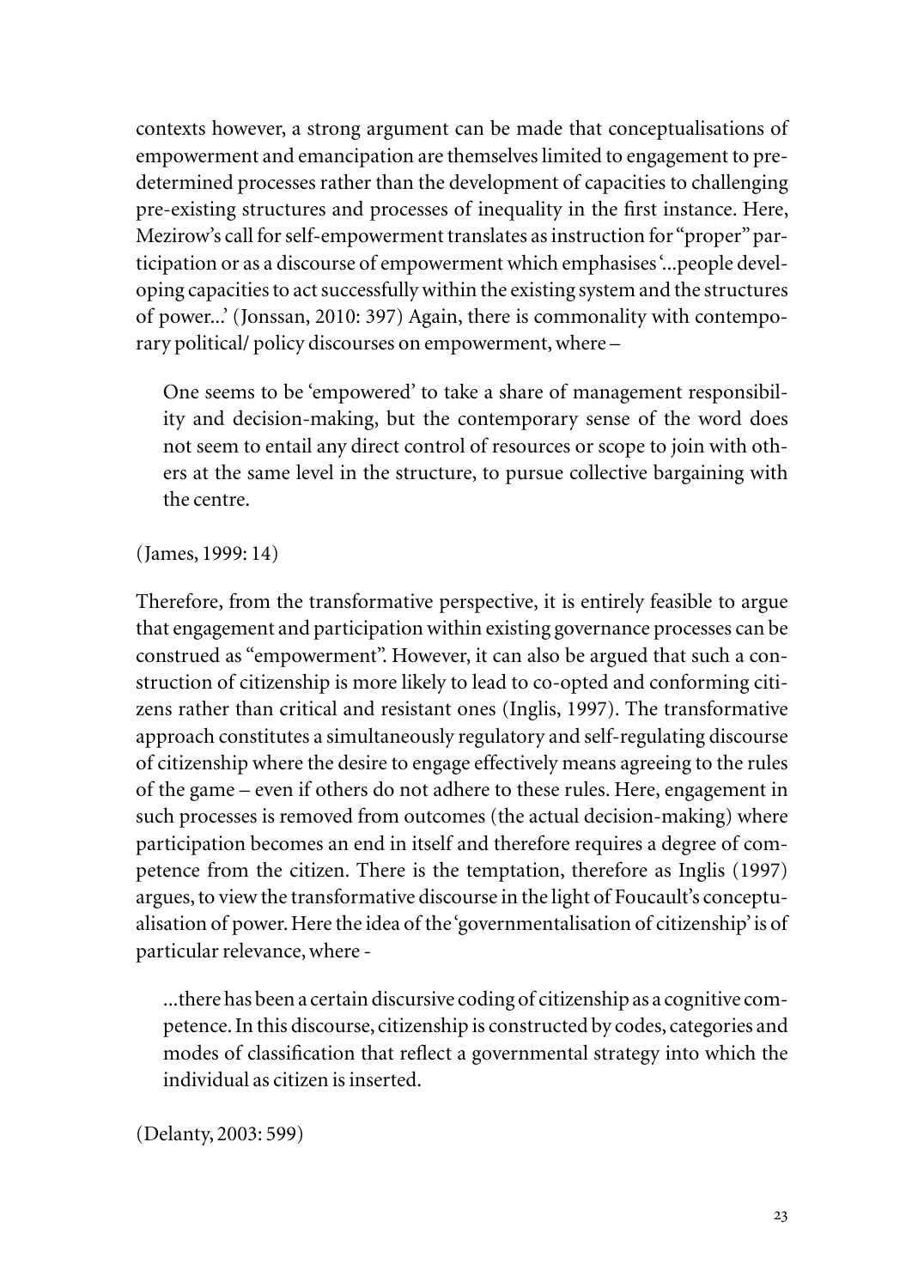contexts however, a strong argument can be made that conceptualisations of empowerment and emancipation are themselves limited to engagement to predetermined processes rather than the development of capacities to challenging pre-existing structures and processes of inequality in the first instance. Here, Mezirow's call for self-empowerment translates as instruction for "proper" participation or as a discourse of empowerment which emphasises '...people developing capacities to act successfully within the existing system and the structures of power...' (Jonssan, 2010: 397) Again, there is commonality with contemporary political/ policy discourses on empowerment, where –

One seems to be 'empowered' to take a share of management responsibility and decision-making, but the contemporary sense of the word does not seem to entail any direct control of resources or scope to join with others at the same level in the structure, to pursue collective bargaining with the centre.

(James, 1999: 14)

Therefore, from the transformative perspective, it is entirely feasible to argue that engagement and participation within existing governance processes can be construed as "empowerment". However, it can also be argued that such a construction of citizenship is more likely to lead to co-opted and conforming citizens rather than critical and resistant ones (Inglis, 1997). The transformative approach constitutes a simultaneously regulatory and self-regulating discourse of citizenship where the desire to engage effectively means agreeing to the rules of the game – even if others do not adhere to these rules. Here, engagement in such processes is removed from outcomes (the actual decision-making) where participation becomes an end in itself and therefore requires a degree of competence from the citizen. There is the temptation, therefore as Inglis (1997) argues, to view the transformative discourse in the light of Foucault's conceptualisation of power. Here the idea of the 'governmentalisation of citizenship' is of particular relevance, where -

...there has been a certain discursive coding of citizenship as a cognitive competence. In this discourse, citizenship is constructed by codes, categories and modes of classification that reflect a governmental strategy into which the individual as citizen is inserted.

(Delanty, 2003: 599)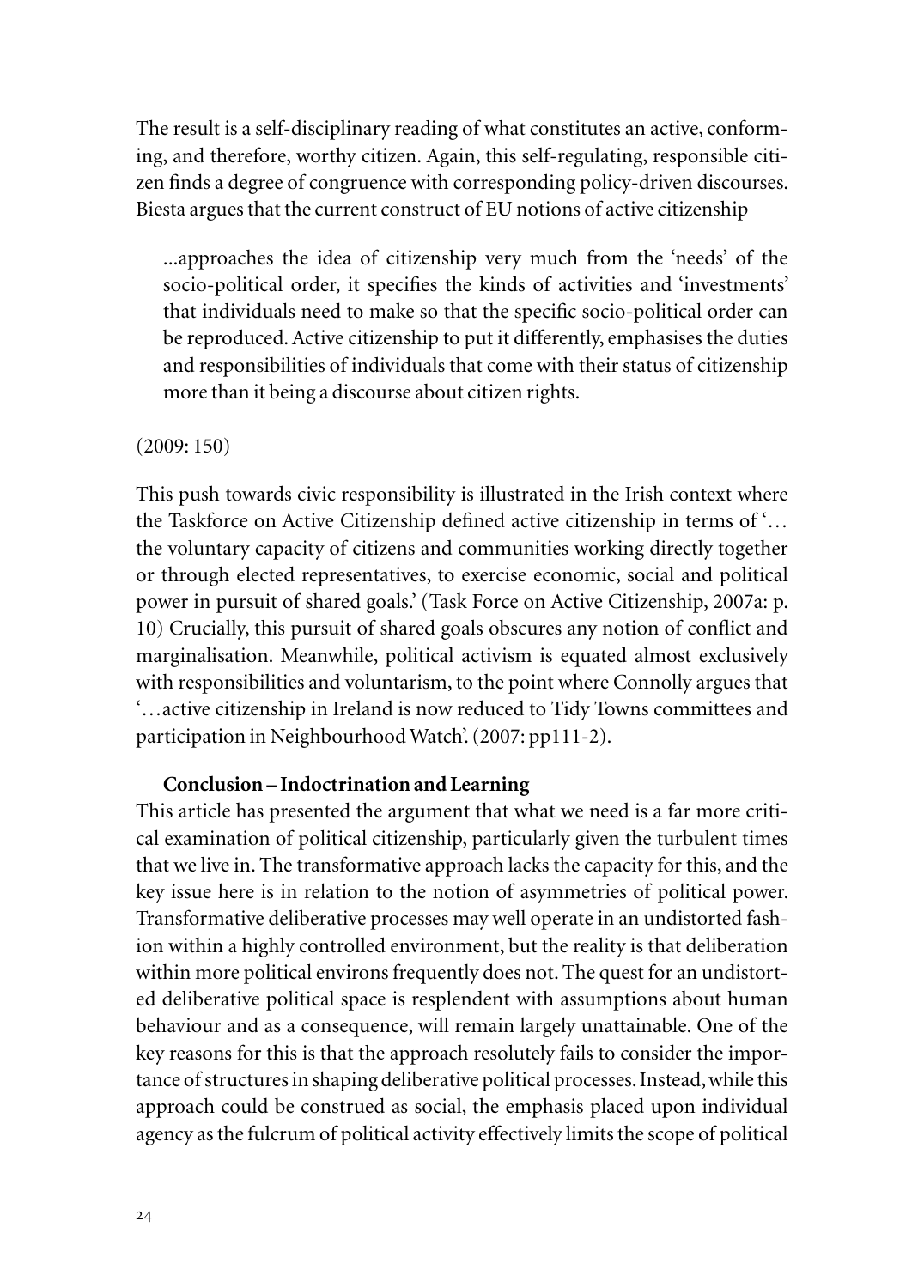The result is a self-disciplinary reading of what constitutes an active, conforming, and therefore, worthy citizen. Again, this self-regulating, responsible citizen finds a degree of congruence with corresponding policy-driven discourses. Biesta argues that the current construct of EU notions of active citizenship

...approaches the idea of citizenship very much from the 'needs' of the socio-political order, it specifies the kinds of activities and 'investments' that individuals need to make so that the specific socio-political order can be reproduced. Active citizenship to put it differently, emphasises the duties and responsibilities of individuals that come with their status of citizenship more than it being a discourse about citizen rights.

### (2009: 150)

This push towards civic responsibility is illustrated in the Irish context where the Taskforce on Active Citizenship defined active citizenship in terms of '… the voluntary capacity of citizens and communities working directly together or through elected representatives, to exercise economic, social and political power in pursuit of shared goals.' (Task Force on Active Citizenship, 2007a: p. 10) Crucially, this pursuit of shared goals obscures any notion of conflict and marginalisation. Meanwhile, political activism is equated almost exclusively with responsibilities and voluntarism, to the point where Connolly argues that '…active citizenship in Ireland is now reduced to Tidy Towns committees and participation in Neighbourhood Watch'. (2007: pp111-2).

## **Conclusion – Indoctrination and Learning**

This article has presented the argument that what we need is a far more critical examination of political citizenship, particularly given the turbulent times that we live in. The transformative approach lacks the capacity for this, and the key issue here is in relation to the notion of asymmetries of political power. Transformative deliberative processes may well operate in an undistorted fashion within a highly controlled environment, but the reality is that deliberation within more political environs frequently does not. The quest for an undistorted deliberative political space is resplendent with assumptions about human behaviour and as a consequence, will remain largely unattainable. One of the key reasons for this is that the approach resolutely fails to consider the importance of structures in shaping deliberative political processes. Instead, while this approach could be construed as social, the emphasis placed upon individual agency as the fulcrum of political activity effectively limits the scope of political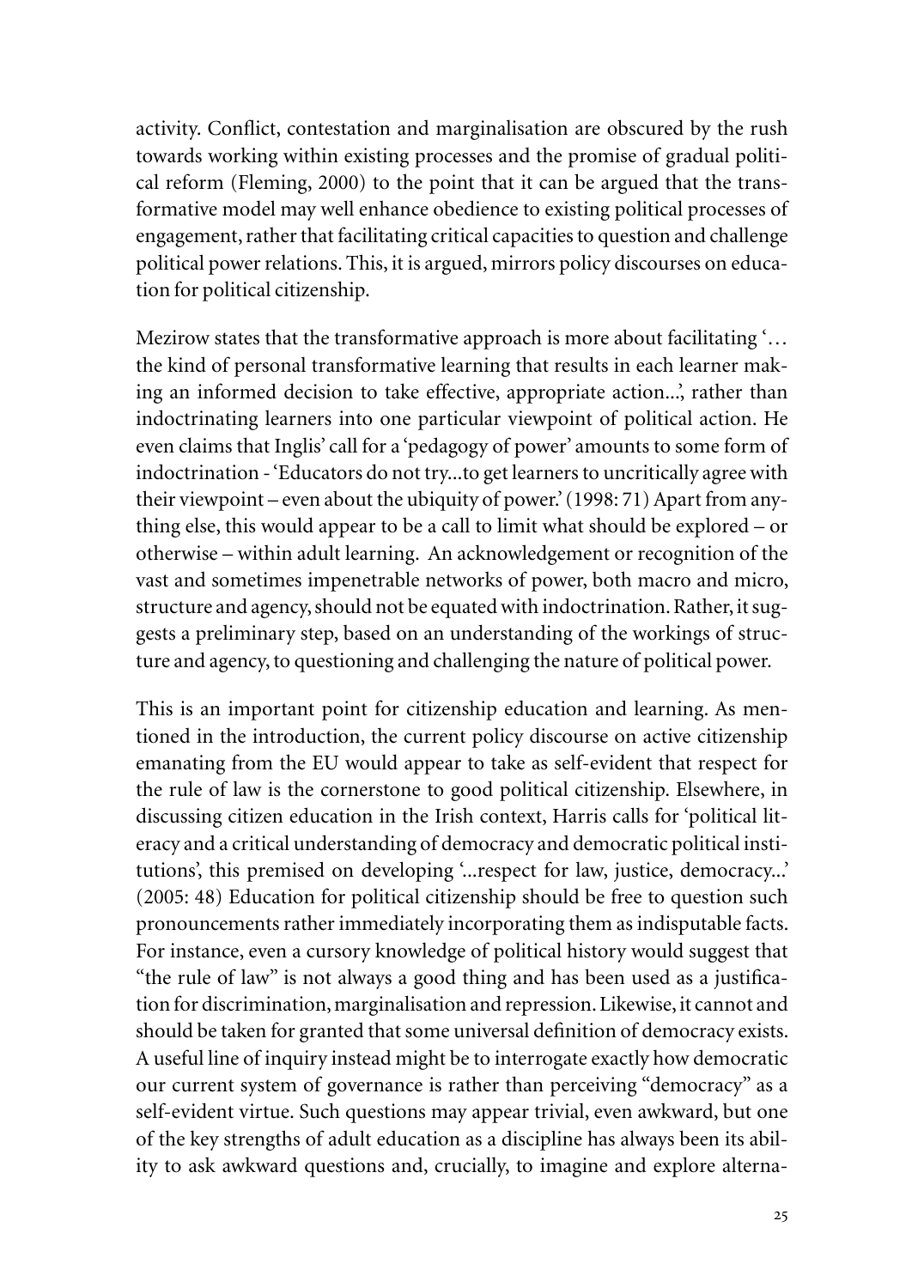activity. Conflict, contestation and marginalisation are obscured by the rush towards working within existing processes and the promise of gradual political reform (Fleming, 2000) to the point that it can be argued that the transformative model may well enhance obedience to existing political processes of engagement, rather that facilitating critical capacities to question and challenge political power relations. This, it is argued, mirrors policy discourses on education for political citizenship.

Mezirow states that the transformative approach is more about facilitating '... the kind of personal transformative learning that results in each learner making an informed decision to take effective, appropriate action...', rather than indoctrinating learners into one particular viewpoint of political action. He even claims that Inglis' call for a 'pedagogy of power' amounts to some form of indoctrination - 'Educators do not try...to get learners to uncritically agree with their viewpoint – even about the ubiquity of power.' (1998: 71) Apart from anything else, this would appear to be a call to limit what should be explored – or otherwise – within adult learning. An acknowledgement or recognition of the vast and sometimes impenetrable networks of power, both macro and micro, structure and agency, should not be equated with indoctrination. Rather, it suggests a preliminary step, based on an understanding of the workings of structure and agency, to questioning and challenging the nature of political power.

This is an important point for citizenship education and learning. As mentioned in the introduction, the current policy discourse on active citizenship emanating from the EU would appear to take as self-evident that respect for the rule of law is the cornerstone to good political citizenship. Elsewhere, in discussing citizen education in the Irish context, Harris calls for 'political literacy and a critical understanding of democracy and democratic political institutions', this premised on developing '...respect for law, justice, democracy...' (2005: 48) Education for political citizenship should be free to question such pronouncements rather immediately incorporating them as indisputable facts. For instance, even a cursory knowledge of political history would suggest that "the rule of law" is not always a good thing and has been used as a justification for discrimination, marginalisation and repression. Likewise, it cannot and should be taken for granted that some universal definition of democracy exists. A useful line of inquiry instead might be to interrogate exactly how democratic our current system of governance is rather than perceiving "democracy" as a self-evident virtue. Such questions may appear trivial, even awkward, but one of the key strengths of adult education as a discipline has always been its ability to ask awkward questions and, crucially, to imagine and explore alterna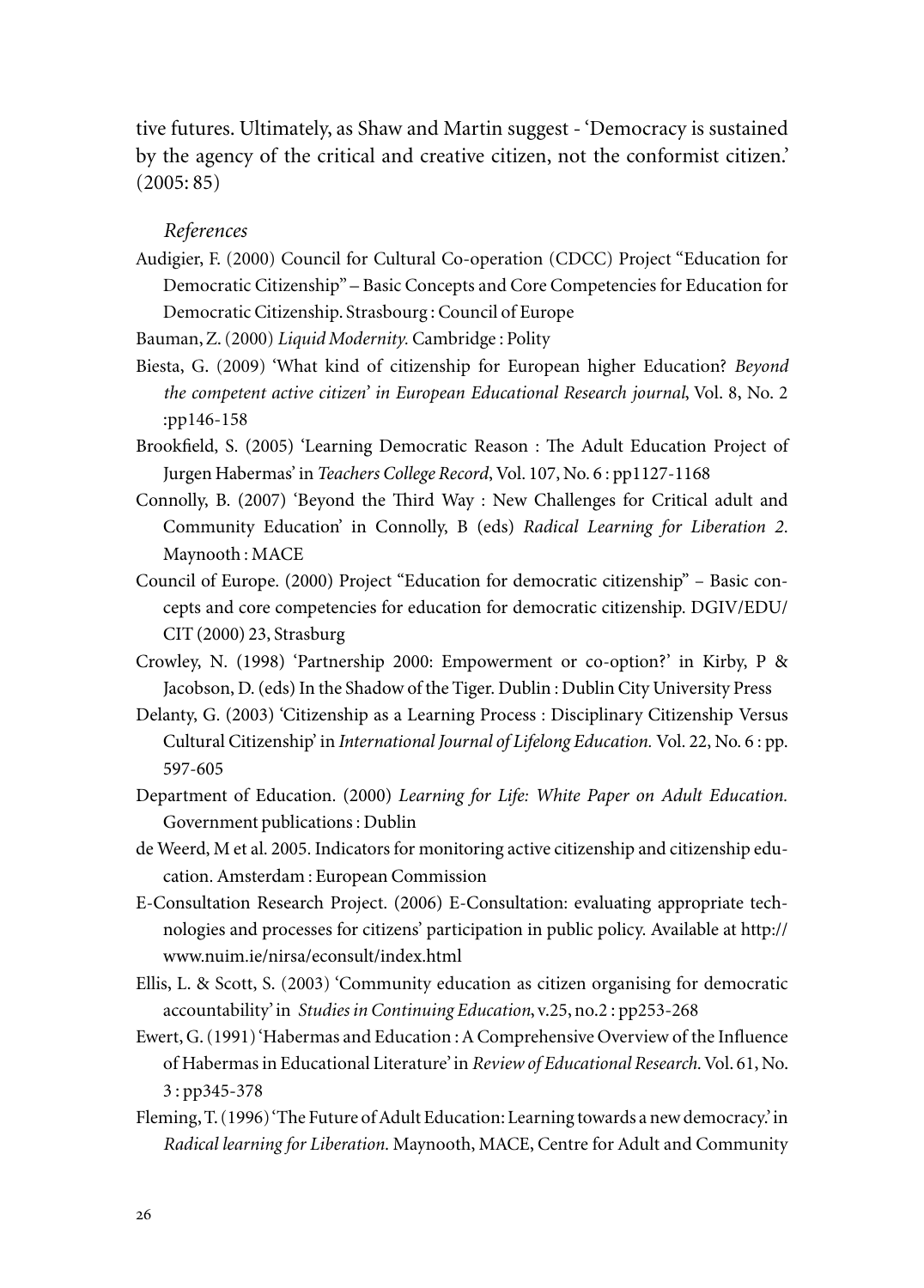tive futures. Ultimately, as Shaw and Martin suggest - 'Democracy is sustained by the agency of the critical and creative citizen, not the conformist citizen.' (2005: 85)

### *References*

Audigier, F. (2000) Council for Cultural Co-operation (CDCC) Project "Education for Democratic Citizenship" – Basic Concepts and Core Competencies for Education for Democratic Citizenship. Strasbourg : Council of Europe

Bauman, Z. (2000) *Liquid Modernity.* Cambridge : Polity

- Biesta, G. (2009) 'What kind of citizenship for European higher Education? *Beyond the competent active citizen' in European Educational Research journal*, Vol. 8, No. 2 :pp146-158
- Brookfield, S. (2005) 'Learning Democratic Reason : The Adult Education Project of Jurgen Habermas' in *Teachers College Record*, Vol. 107, No. 6 : pp1127-1168
- Connolly, B. (2007) 'Beyond the Third Way : New Challenges for Critical adult and Community Education' in Connolly, B (eds) *Radical Learning for Liberation 2*. Maynooth : MACE
- Council of Europe. (2000) Project "Education for democratic citizenship" Basic concepts and core competencies for education for democratic citizenship. DGIV/EDU/ CIT (2000) 23, Strasburg
- Crowley, N. (1998) 'Partnership 2000: Empowerment or co-option?' in Kirby, P & Jacobson, D. (eds) In the Shadow of the Tiger. Dublin : Dublin City University Press
- Delanty, G. (2003) 'Citizenship as a Learning Process : Disciplinary Citizenship Versus Cultural Citizenship' in *International Journal of Lifelong Education.* Vol. 22, No. 6 : pp. 597-605
- Department of Education. (2000) *Learning for Life: White Paper on Adult Education.*  Government publications : Dublin
- de Weerd, M et al. 2005. Indicators for monitoring active citizenship and citizenship education. Amsterdam : European Commission
- E-Consultation Research Project. (2006) E-Consultation: evaluating appropriate technologies and processes for citizens' participation in public policy. Available at http:// www.nuim.ie/nirsa/econsult/index.html
- Ellis, L. & Scott, S. (2003) 'Community education as citizen organising for democratic accountability' in *Studies in Continuing Education*, v.25, no.2 : pp253-268
- Ewert, G. (1991) 'Habermas and Education : A Comprehensive Overview of the Influence of Habermas in Educational Literature' in *Review of Educational Research.* Vol. 61, No. 3 : pp345-378
- Fleming, T. (1996) 'The Future of Adult Education: Learning towards a new democracy.' in *Radical learning for Liberation.* Maynooth, MACE, Centre for Adult and Community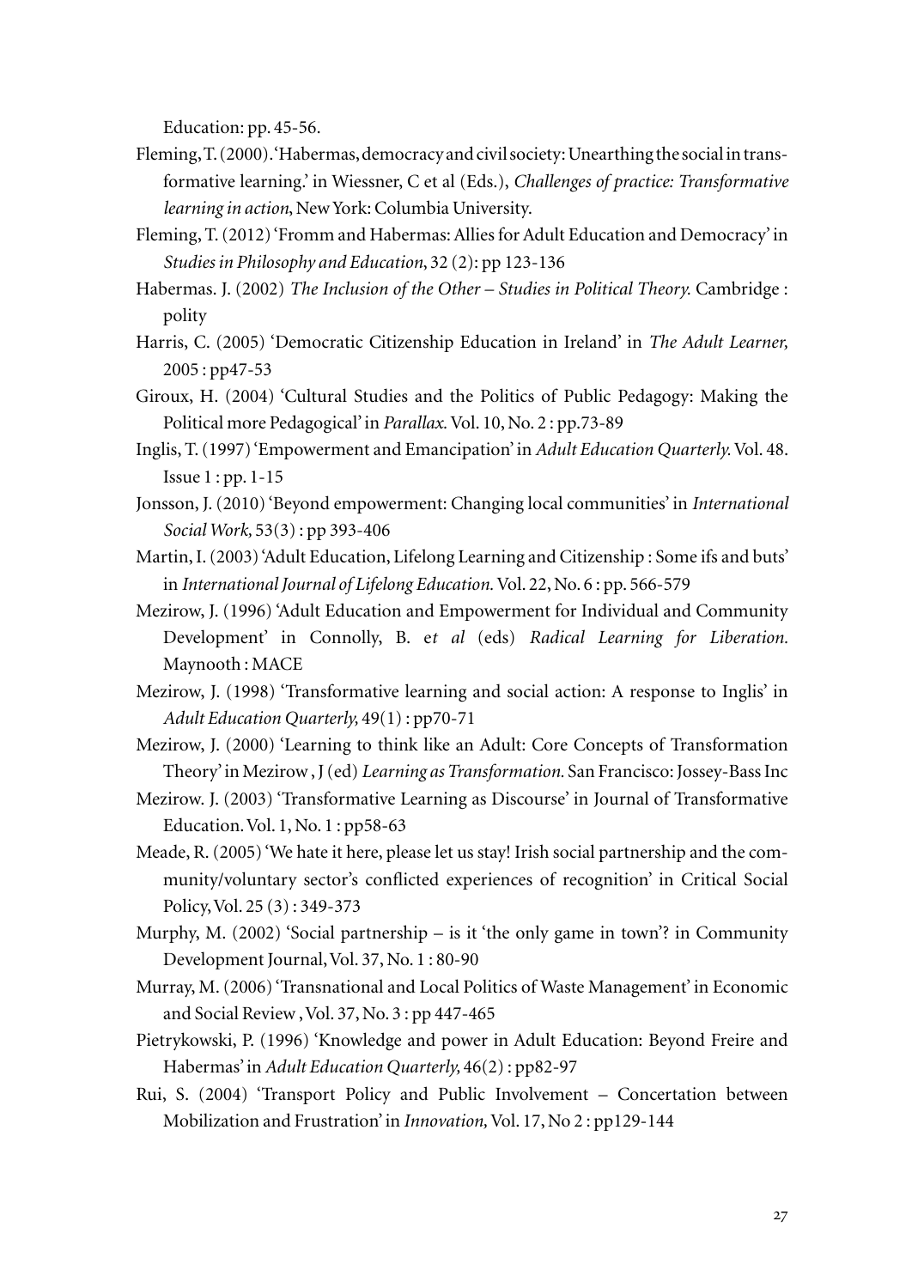Education: pp. 45-56.

- Fleming, T. (2000). 'Habermas, democracy and civil society: Unearthing the social in transformative learning.' in Wiessner, C et al (Eds.), *Challenges of practice: Transformative learning in action*, New York: Columbia University.
- Fleming, T. (2012) 'Fromm and Habermas: Allies for Adult Education and Democracy' in *Studies in Philosophy and Education*, 32 (2): pp 123-136
- Habermas. J. (2002) *The Inclusion of the Other Studies in Political Theory.* Cambridge : polity
- Harris, C. (2005) 'Democratic Citizenship Education in Ireland' in *The Adult Learner,*  2005 : pp47-53
- Giroux, H. (2004) 'Cultural Studies and the Politics of Public Pedagogy: Making the Political more Pedagogical' in *Parallax.* Vol. 10, No. 2 : pp.73-89
- Inglis, T. (1997) 'Empowerment and Emancipation' in *Adult Education Quarterly.* Vol. 48. Issue 1 : pp. 1-15
- Jonsson, J. (2010) 'Beyond empowerment: Changing local communities' in *International Social Work,* 53(3) : pp 393-406
- Martin, I. (2003) 'Adult Education, Lifelong Learning and Citizenship : Some ifs and buts' in *International Journal of Lifelong Education.* Vol. 22, No. 6 : pp. 566-579
- Mezirow, J. (1996) 'Adult Education and Empowerment for Individual and Community Development' in Connolly, B. e*t al* (eds) *Radical Learning for Liberation.*  Maynooth : MACE
- Mezirow, J. (1998) 'Transformative learning and social action: A response to Inglis' in *Adult Education Quarterly,* 49(1) : pp70-71
- Mezirow, J. (2000) 'Learning to think like an Adult: Core Concepts of Transformation Theory' in Mezirow , J (ed) *Learning as Transformation.* San Francisco: Jossey-Bass Inc
- Mezirow. J. (2003) 'Transformative Learning as Discourse' in Journal of Transformative Education. Vol. 1, No. 1 : pp58-63
- Meade, R. (2005) 'We hate it here, please let us stay! Irish social partnership and the community/voluntary sector's conflicted experiences of recognition' in Critical Social Policy, Vol. 25 (3) : 349-373
- Murphy, M. (2002) 'Social partnership is it 'the only game in town'? in Community Development Journal, Vol. 37, No. 1 : 80-90
- Murray, M. (2006) 'Transnational and Local Politics of Waste Management' in Economic and Social Review , Vol. 37, No. 3 : pp 447-465
- Pietrykowski, P. (1996) 'Knowledge and power in Adult Education: Beyond Freire and Habermas' in *Adult Education Quarterly,* 46(2) : pp82-97
- Rui, S. (2004) 'Transport Policy and Public Involvement Concertation between Mobilization and Frustration' in *Innovation,* Vol. 17, No 2 : pp129-144